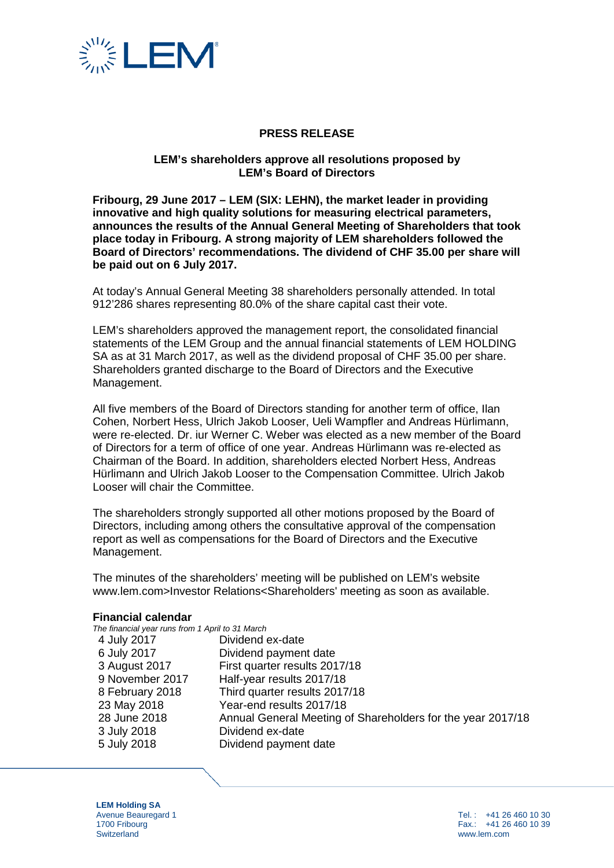

# **PRESS RELEASE**

### **LEM's shareholders approve all resolutions proposed by LEM's Board of Directors**

**Fribourg, 29 June 2017 – LEM (SIX: LEHN), the market leader in providing innovative and high quality solutions for measuring electrical parameters, announces the results of the Annual General Meeting of Shareholders that took place today in Fribourg. A strong majority of LEM shareholders followed the Board of Directors' recommendations. The dividend of CHF 35.00 per share will be paid out on 6 July 2017.**

At today's Annual General Meeting 38 shareholders personally attended. In total 912'286 shares representing 80.0% of the share capital cast their vote.

LEM's shareholders approved the management report, the consolidated financial statements of the LEM Group and the annual financial statements of LEM HOLDING SA as at 31 March 2017, as well as the dividend proposal of CHF 35.00 per share. Shareholders granted discharge to the Board of Directors and the Executive Management.

All five members of the Board of Directors standing for another term of office, Ilan Cohen, Norbert Hess, Ulrich Jakob Looser, Ueli Wampfler and Andreas Hürlimann, were re-elected. Dr. iur Werner C. Weber was elected as a new member of the Board of Directors for a term of office of one year. Andreas Hürlimann was re-elected as Chairman of the Board. In addition, shareholders elected Norbert Hess, Andreas Hürlimann and Ulrich Jakob Looser to the Compensation Committee. Ulrich Jakob Looser will chair the Committee.

The shareholders strongly supported all other motions proposed by the Board of Directors, including among others the consultative approval of the compensation report as well as compensations for the Board of Directors and the Executive Management.

The minutes of the shareholders' meeting will be published on LEM's website www.lem.com>Investor Relations<Shareholders' meeting as soon as available.

#### **Financial calendar**

| The financial year runs from 1 April to 31 March |                                                             |
|--------------------------------------------------|-------------------------------------------------------------|
| 4 July 2017                                      | Dividend ex-date                                            |
| 6 July 2017                                      | Dividend payment date                                       |
| 3 August 2017                                    | First quarter results 2017/18                               |
| 9 November 2017                                  | Half-year results 2017/18                                   |
| 8 February 2018                                  | Third quarter results 2017/18                               |
| 23 May 2018                                      | Year-end results 2017/18                                    |
| 28 June 2018                                     | Annual General Meeting of Shareholders for the year 2017/18 |
| 3 July 2018                                      | Dividend ex-date                                            |
| 5 July 2018                                      | Dividend payment date                                       |
|                                                  |                                                             |

**LEM Holding SA** Avenue Beauregard 1 1700 Fribourg **Switzerland**